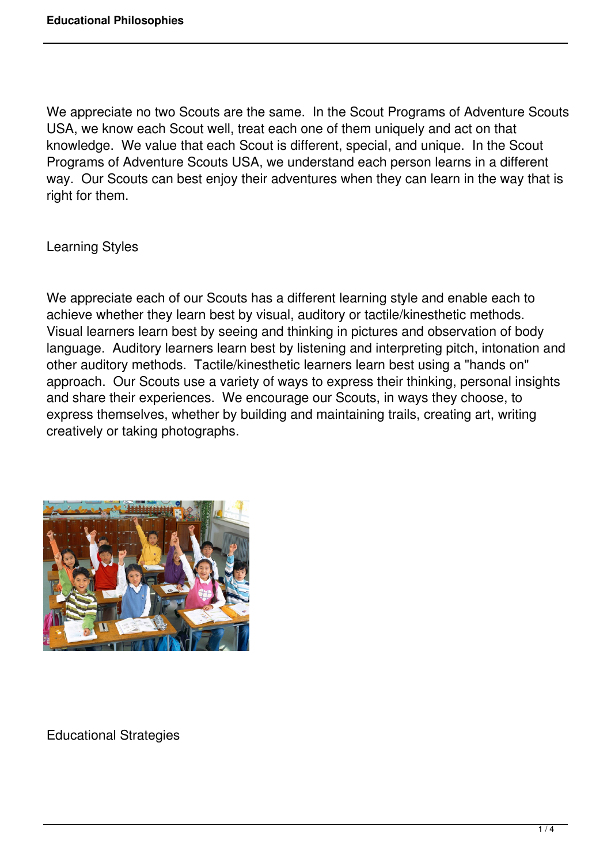We appreciate no two Scouts are the same. In the Scout Programs of Adventure Scouts USA, we know each Scout well, treat each one of them uniquely and act on that knowledge. We value that each Scout is different, special, and unique. In the Scout Programs of Adventure Scouts USA, we understand each person learns in a different way. Our Scouts can best enjoy their adventures when they can learn in the way that is right for them.

Learning Styles

We appreciate each of our Scouts has a different learning style and enable each to achieve whether they learn best by visual, auditory or tactile/kinesthetic methods. Visual learners learn best by seeing and thinking in pictures and observation of body language. Auditory learners learn best by listening and interpreting pitch, intonation and other auditory methods. Tactile/kinesthetic learners learn best using a "hands on" approach. Our Scouts use a variety of ways to express their thinking, personal insights and share their experiences. We encourage our Scouts, in ways they choose, to express themselves, whether by building and maintaining trails, creating art, writing creatively or taking photographs.



Educational Strategies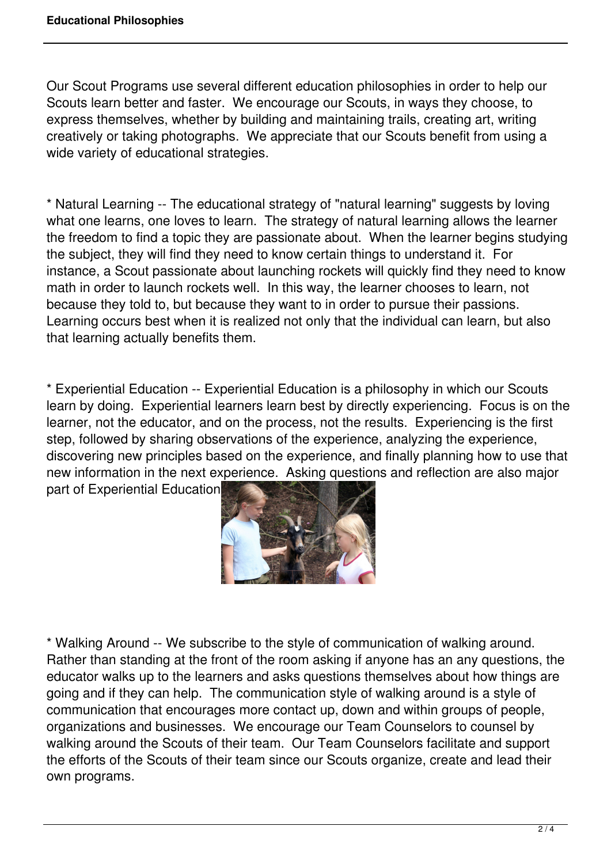Our Scout Programs use several different education philosophies in order to help our Scouts learn better and faster. We encourage our Scouts, in ways they choose, to express themselves, whether by building and maintaining trails, creating art, writing creatively or taking photographs. We appreciate that our Scouts benefit from using a wide variety of educational strategies.

\* Natural Learning -- The educational strategy of "natural learning" suggests by loving what one learns, one loves to learn. The strategy of natural learning allows the learner the freedom to find a topic they are passionate about. When the learner begins studying the subject, they will find they need to know certain things to understand it. For instance, a Scout passionate about launching rockets will quickly find they need to know math in order to launch rockets well. In this way, the learner chooses to learn, not because they told to, but because they want to in order to pursue their passions. Learning occurs best when it is realized not only that the individual can learn, but also that learning actually benefits them.

\* Experiential Education -- Experiential Education is a philosophy in which our Scouts learn by doing. Experiential learners learn best by directly experiencing. Focus is on the learner, not the educator, and on the process, not the results. Experiencing is the first step, followed by sharing observations of the experience, analyzing the experience, discovering new principles based on the experience, and finally planning how to use that new information in the next experience. Asking questions and reflection are also major part of Experiential Education.



\* Walking Around -- We subscribe to the style of communication of walking around. Rather than standing at the front of the room asking if anyone has an any questions, the educator walks up to the learners and asks questions themselves about how things are going and if they can help. The communication style of walking around is a style of communication that encourages more contact up, down and within groups of people, organizations and businesses. We encourage our Team Counselors to counsel by walking around the Scouts of their team. Our Team Counselors facilitate and support the efforts of the Scouts of their team since our Scouts organize, create and lead their own programs.